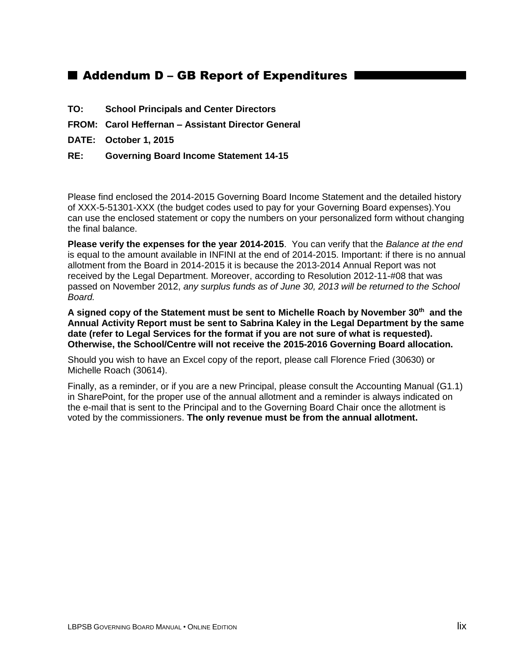## ■ Addendum D – GB Report of Expenditures

- **TO: School Principals and Center Directors**
- **FROM: Carol Heffernan – Assistant Director General**
- **DATE: October 1, 2015**
- **RE: Governing Board Income Statement 14-15**

Please find enclosed the 2014-2015 Governing Board Income Statement and the detailed history of XXX-5-51301-XXX (the budget codes used to pay for your Governing Board expenses).You can use the enclosed statement or copy the numbers on your personalized form without changing the final balance.

**Please verify the expenses for the year 2014-2015**. You can verify that the *Balance at the end*  is equal to the amount available in INFINI at the end of 2014-2015. Important: if there is no annual allotment from the Board in 2014-2015 it is because the 2013-2014 Annual Report was not received by the Legal Department. Moreover, according to Resolution 2012-11-#08 that was passed on November 2012, *any surplus funds as of June 30, 2013 will be returned to the School Board.* 

**A signed copy of the Statement must be sent to Michelle Roach by November 30th and the Annual Activity Report must be sent to Sabrina Kaley in the Legal Department by the same date (refer to Legal Services for the format if you are not sure of what is requested). Otherwise, the School/Centre will not receive the 2015-2016 Governing Board allocation.**

Should you wish to have an Excel copy of the report, please call Florence Fried (30630) or Michelle Roach (30614).

Finally, as a reminder, or if you are a new Principal, please consult the Accounting Manual (G1.1) in SharePoint, for the proper use of the annual allotment and a reminder is always indicated on the e-mail that is sent to the Principal and to the Governing Board Chair once the allotment is voted by the commissioners. **The only revenue must be from the annual allotment.**